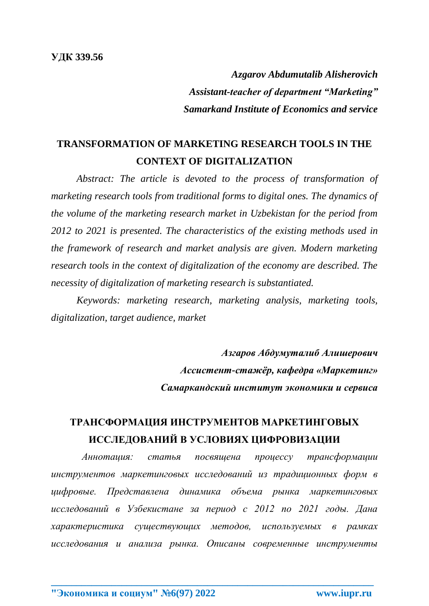*Azgarov Abdumutalib Alisherovich Assistant-teacher of department "Marketing" Samarkand Institute of Economics and service*

## **TRANSFORMATION OF MARKETING RESEARCH TOOLS IN THE CONTEXT OF DIGITALIZATION**

*Abstract: The article is devoted to the process of transformation of marketing research tools from traditional forms to digital ones. The dynamics of the volume of the marketing research market in Uzbekistan for the period from 2012 to 2021 is presented. The characteristics of the existing methods used in the framework of research and market analysis are given. Modern marketing research tools in the context of digitalization of the economy are described. The necessity of digitalization of marketing research is substantiated.*

*Keywords: marketing research, marketing analysis, marketing tools, digitalization, target audience, market*

> *Азгаров Абдумуталиб Алишерович Ассистент-стажёр, кафедра «Маркетинг» Самаркандский институт экономики и сервиса*

## **ТРАНСФОРМАЦИЯ ИНСТРУМЕНТОВ МАРКЕТИНГОВЫХ ИССЛЕДОВАНИЙ В УСЛОВИЯХ ЦИФРОВИЗАЦИИ**

*Аннотация: статья посвящена процессу трансформации инструментов маркетинговых исследований из традиционных форм в цифровые. Представлена динамика объема рынка маркетинговых исследований в Узбекистане за период с 2012 по 2021 годы. Дана характеристика существующих методов, используемых в рамках исследования и анализа рынка. Описаны современные инструменты*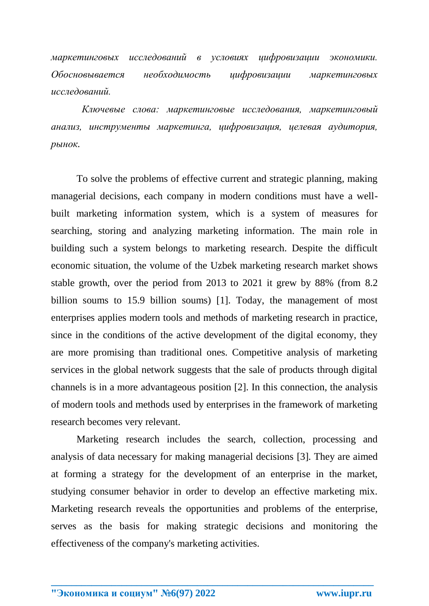*маркетинговых исследований в условиях цифровизации экономики. Обосновывается необходимость цифровизации маркетинговых исследований.*

*Ключевые слова: маркетинговые исследования, маркетинговый анализ, инструменты маркетинга, цифровизация, целевая аудитория, рынок.*

To solve the problems of effective current and strategic planning, making managerial decisions, each company in modern conditions must have a wellbuilt marketing information system, which is a system of measures for searching, storing and analyzing marketing information. The main role in building such a system belongs to marketing research. Despite the difficult economic situation, the volume of the Uzbek marketing research market shows stable growth, over the period from 2013 to 2021 it grew by 88% (from 8.2 billion soums to 15.9 billion soums) [1]. Today, the management of most enterprises applies modern tools and methods of marketing research in practice, since in the conditions of the active development of the digital economy, they are more promising than traditional ones. Competitive analysis of marketing services in the global network suggests that the sale of products through digital channels is in a more advantageous position [2]. In this connection, the analysis of modern tools and methods used by enterprises in the framework of marketing research becomes very relevant.

Marketing research includes the search, collection, processing and analysis of data necessary for making managerial decisions [3]. They are aimed at forming a strategy for the development of an enterprise in the market, studying consumer behavior in order to develop an effective marketing mix. Marketing research reveals the opportunities and problems of the enterprise, serves as the basis for making strategic decisions and monitoring the effectiveness of the company's marketing activities.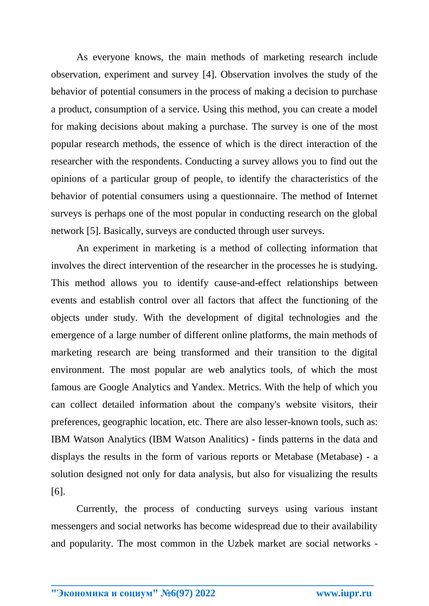As everyone knows, the main methods of marketing research include observation, experiment and survey [4]. Observation involves the study of the behavior of potential consumers in the process of making a decision to purchase a product, consumption of a service. Using this method, you can create a model for making decisions about making a purchase. The survey is one of the most popular research methods, the essence of which is the direct interaction of the researcher with the respondents. Conducting a survey allows you to find out the opinions of a particular group of people, to identify the characteristics of the behavior of potential consumers using a questionnaire. The method of Internet surveys is perhaps one of the most popular in conducting research on the global network [5]. Basically, surveys are conducted through user surveys.

An experiment in marketing is a method of collecting information that involves the direct intervention of the researcher in the processes he is studying. This method allows you to identify cause-and-effect relationships between events and establish control over all factors that affect the functioning of the objects under study. With the development of digital technologies and the emergence of a large number of different online platforms, the main methods of marketing research are being transformed and their transition to the digital environment. The most popular are web analytics tools, of which the most famous are Google Analytics and Yandex. Metrics. With the help of which you can collect detailed information about the company's website visitors, their preferences, geographic location, etc. There are also lesser-known tools, such as: IBM Watson Analytics (IBM Watson Analitics) - finds patterns in the data and displays the results in the form of various reports or Metabase (Metabase) - a solution designed not only for data analysis, but also for visualizing the results [6].

Currently, the process of conducting surveys using various instant messengers and social networks has become widespread due to their availability and popularity. The most common in the Uzbek market are social networks -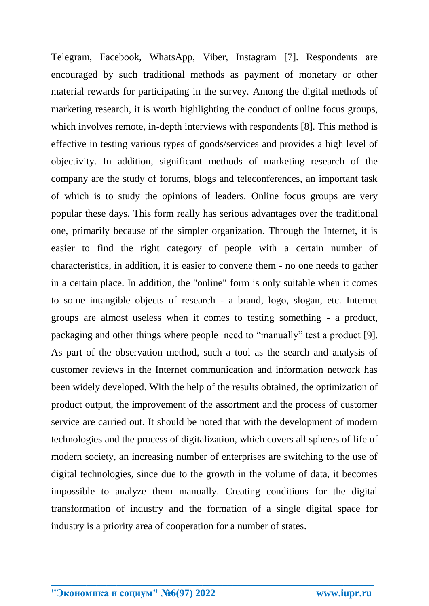Telegram, Facebook, WhatsApp, Viber, Instagram [7]. Respondents are encouraged by such traditional methods as payment of monetary or other material rewards for participating in the survey. Among the digital methods of marketing research, it is worth highlighting the conduct of online focus groups, which involves remote, in-depth interviews with respondents [8]. This method is effective in testing various types of goods/services and provides a high level of objectivity. In addition, significant methods of marketing research of the company are the study of forums, blogs and teleconferences, an important task of which is to study the opinions of leaders. Online focus groups are very popular these days. This form really has serious advantages over the traditional one, primarily because of the simpler organization. Through the Internet, it is easier to find the right category of people with a certain number of characteristics, in addition, it is easier to convene them - no one needs to gather in a certain place. In addition, the "online" form is only suitable when it comes to some intangible objects of research - a brand, logo, slogan, etc. Internet groups are almost useless when it comes to testing something - a product, packaging and other things where people need to "manually" test a product [9]. As part of the observation method, such a tool as the search and analysis of customer reviews in the Internet communication and information network has been widely developed. With the help of the results obtained, the optimization of product output, the improvement of the assortment and the process of customer service are carried out. It should be noted that with the development of modern technologies and the process of digitalization, which covers all spheres of life of modern society, an increasing number of enterprises are switching to the use of digital technologies, since due to the growth in the volume of data, it becomes impossible to analyze them manually. Creating conditions for the digital transformation of industry and the formation of a single digital space for industry is a priority area of cooperation for a number of states.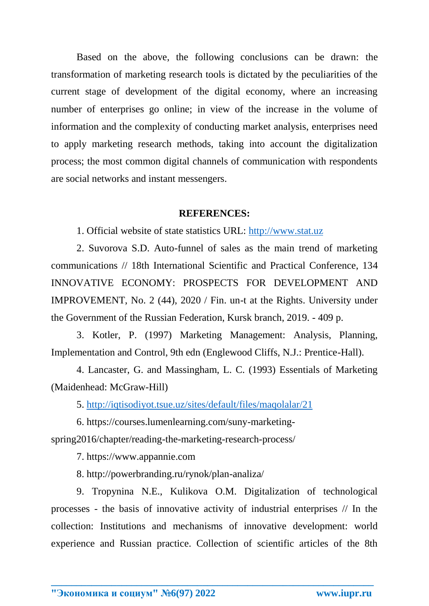Based on the above, the following conclusions can be drawn: the transformation of marketing research tools is dictated by the peculiarities of the current stage of development of the digital economy, where an increasing number of enterprises go online; in view of the increase in the volume of information and the complexity of conducting market analysis, enterprises need to apply marketing research methods, taking into account the digitalization process; the most common digital channels of communication with respondents are social networks and instant messengers.

## **REFERENCES:**

1. Official website of state statistics URL: [http://www.stat.uz](http://www.stat.uz/)

2. Suvorova S.D. Auto-funnel of sales as the main trend of marketing communications // 18th International Scientific and Practical Conference, 134 INNOVATIVE ECONOMY: PROSPECTS FOR DEVELOPMENT AND IMPROVEMENT, No. 2 (44), 2020 / Fin. un-t at the Rights. University under the Government of the Russian Federation, Kursk branch, 2019. - 409 p.

3. Kotler, P. (1997) Marketing Management: Analysis, Planning, Implementation and Control, 9th edn (Englewood Cliffs, N.J.: Prentice-Hall).

4. Lancaster, G. and Massingham, L. C. (1993) Essentials of Marketing (Maidenhead: McGraw-Hill)

5.<http://iqtisodiyot.tsue.uz/sites/default/files/maqolalar/21>

6. https://courses.lumenlearning.com/suny-marketingspring2016/chapter/reading-the-marketing-research-process/

7. https://www.appannie.com

8. http://powerbranding.ru/rynok/plan-analiza/

9. Tropynina N.E., Kulikova O.M. Digitalization of technological processes - the basis of innovative activity of industrial enterprises // In the collection: Institutions and mechanisms of innovative development: world experience and Russian practice. Collection of scientific articles of the 8th